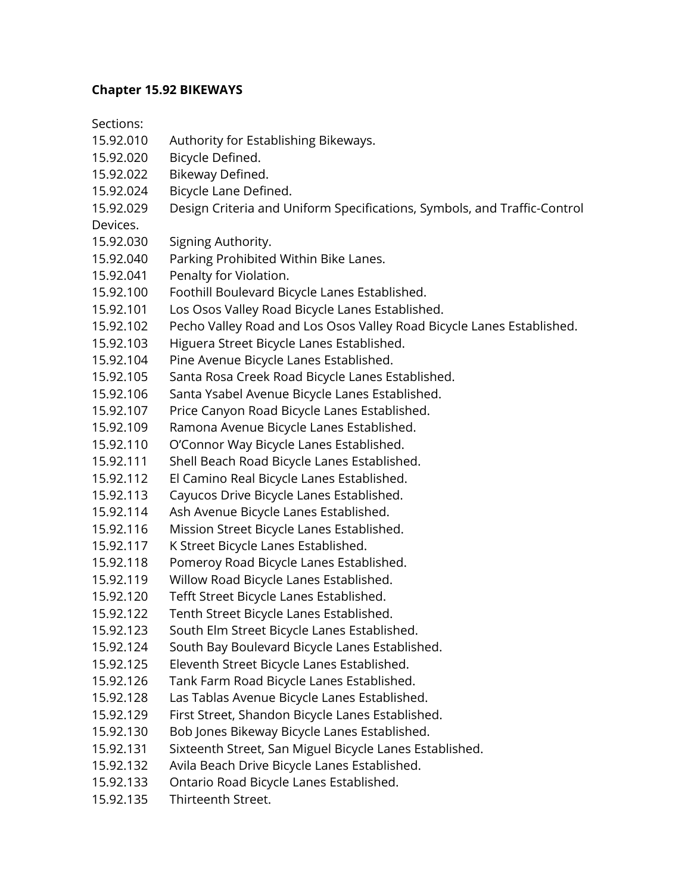## **Chapter 15.92 BIKEWAYS**

Sections:

- 15.92.010 Authority for Establishing Bikeways.
- 15.92.020 Bicycle Defined.
- 15.92.022 Bikeway Defined.
- 15.92.024 Bicycle Lane Defined.
- 15.92.029 Design Criteria and Uniform Specifications, Symbols, and Traffic-Control

Devices.

- 15.92.030 Signing Authority.
- 15.92.040 Parking Prohibited Within Bike Lanes.
- 15.92.041 Penalty for Violation.
- 15.92.100 Foothill Boulevard Bicycle Lanes Established.
- 15.92.101 Los Osos Valley Road Bicycle Lanes Established.
- 15.92.102 Pecho Valley Road and Los Osos Valley Road Bicycle Lanes Established.
- 15.92.103 Higuera Street Bicycle Lanes Established.
- 15.92.104 Pine Avenue Bicycle Lanes Established.
- 15.92.105 Santa Rosa Creek Road Bicycle Lanes Established.
- 15.92.106 Santa Ysabel Avenue Bicycle Lanes Established.
- 15.92.107 Price Canyon Road Bicycle Lanes Established.
- 15.92.109 Ramona Avenue Bicycle Lanes Established.
- 15.92.110 O'Connor Way Bicycle Lanes Established.
- 15.92.111 Shell Beach Road Bicycle Lanes Established.
- 15.92.112 El Camino Real Bicycle Lanes Established.
- 15.92.113 Cayucos Drive Bicycle Lanes Established.
- 15.92.114 Ash Avenue Bicycle Lanes Established.
- 15.92.116 Mission Street Bicycle Lanes Established.
- 15.92.117 K Street Bicycle Lanes Established.
- 15.92.118 Pomeroy Road Bicycle Lanes Established.
- 15.92.119 Willow Road Bicycle Lanes Established.
- 15.92.120 Tefft Street Bicycle Lanes Established.
- 15.92.122 Tenth Street Bicycle Lanes Established.
- 15.92.123 South Elm Street Bicycle Lanes Established.
- 15.92.124 South Bay Boulevard Bicycle Lanes Established.
- 15.92.125 Eleventh Street Bicycle Lanes Established.
- 15.92.126 Tank Farm Road Bicycle Lanes Established.
- 15.92.128 Las Tablas Avenue Bicycle Lanes Established.
- 15.92.129 First Street, Shandon Bicycle Lanes Established.
- 15.92.130 Bob Jones Bikeway Bicycle Lanes Established.
- 15.92.131 Sixteenth Street, San Miguel Bicycle Lanes Established.
- 15.92.132 Avila Beach Drive Bicycle Lanes Established.
- 15.92.133 Ontario Road Bicycle Lanes Established.
- 15.92.135 Thirteenth Street.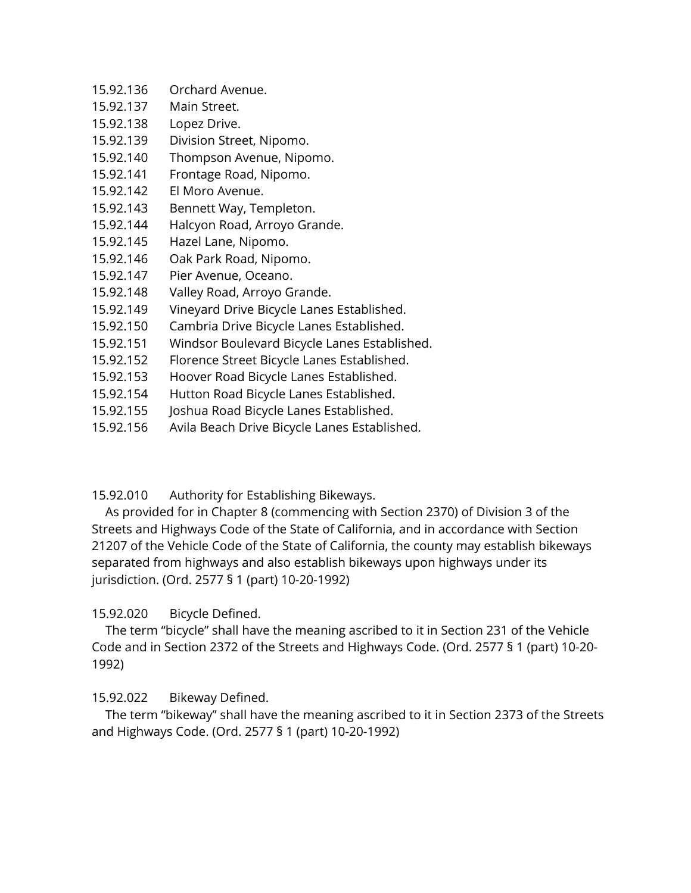- 15.92.136 Orchard Avenue.
- 15.92.137 Main Street.
- 15.92.138 Lopez Drive.
- 15.92.139 Division Street, Nipomo.
- 15.92.140 Thompson Avenue, Nipomo.
- 15.92.141 Frontage Road, Nipomo.
- 15.92.142 El Moro Avenue.
- 15.92.143 Bennett Way, Templeton.
- 15.92.144 Halcyon Road, Arroyo Grande.
- 15.92.145 Hazel Lane, Nipomo.
- 15.92.146 Oak Park Road, Nipomo.
- 15.92.147 Pier Avenue, Oceano.
- 15.92.148 Valley Road, Arroyo Grande.
- 15.92.149 Vineyard Drive Bicycle Lanes Established.
- 15.92.150 Cambria Drive Bicycle Lanes Established.
- 15.92.151 Windsor Boulevard Bicycle Lanes Established.
- 15.92.152 Florence Street Bicycle Lanes Established.
- 15.92.153 Hoover Road Bicycle Lanes Established.
- 15.92.154 Hutton Road Bicycle Lanes Established.
- 15.92.155 Joshua Road Bicycle Lanes Established.
- 15.92.156 Avila Beach Drive Bicycle Lanes Established.

15.92.010 Authority for Establishing Bikeways.

 As provided for in Chapter 8 (commencing with Section 2370) of Division 3 of the Streets and Highways Code of the State of California, and in accordance with Section 21207 of the Vehicle Code of the State of California, the county may establish bikeways separated from highways and also establish bikeways upon highways under its jurisdiction. (Ord. 2577 § 1 (part) 10-20-1992)

# 15.92.020 Bicycle Defined.

 The term "bicycle" shall have the meaning ascribed to it in Section 231 of the Vehicle Code and in Section 2372 of the Streets and Highways Code. (Ord. 2577 § 1 (part) 10-20- 1992)

# 15.92.022 Bikeway Defined.

 The term "bikeway" shall have the meaning ascribed to it in Section 2373 of the Streets and Highways Code. (Ord. 2577 § 1 (part) 10-20-1992)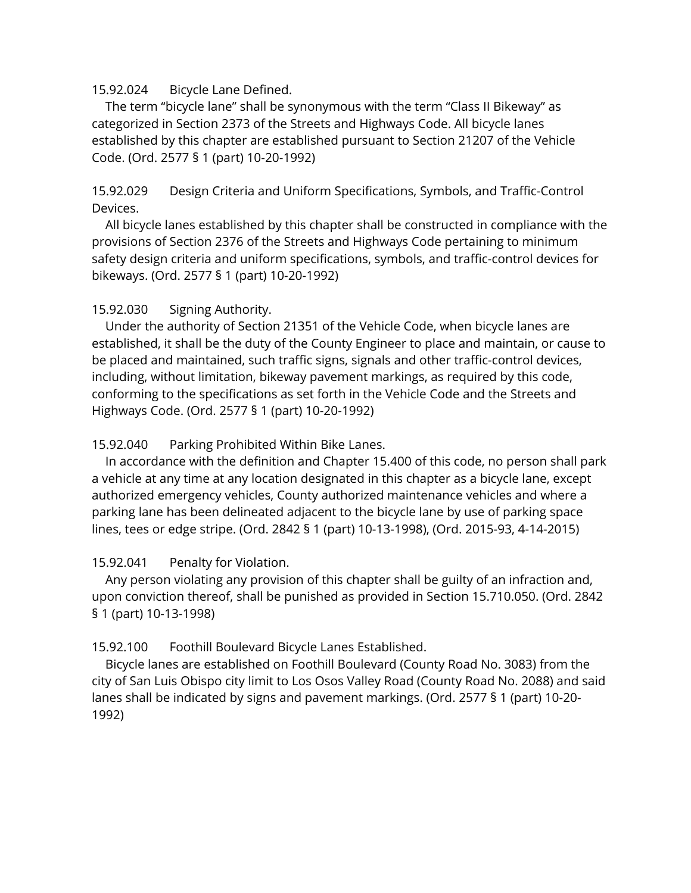#### 15.92.024 Bicycle Lane Defined.

 The term "bicycle lane" shall be synonymous with the term "Class II Bikeway" as categorized in Section 2373 of the Streets and Highways Code. All bicycle lanes established by this chapter are established pursuant to Section 21207 of the Vehicle Code. (Ord. 2577 § 1 (part) 10-20-1992)

15.92.029 Design Criteria and Uniform Specifications, Symbols, and Traffic-Control Devices.

 All bicycle lanes established by this chapter shall be constructed in compliance with the provisions of Section 2376 of the Streets and Highways Code pertaining to minimum safety design criteria and uniform specifications, symbols, and traffic-control devices for bikeways. (Ord. 2577 § 1 (part) 10-20-1992)

### 15.92.030 Signing Authority.

 Under the authority of Section 21351 of the Vehicle Code, when bicycle lanes are established, it shall be the duty of the County Engineer to place and maintain, or cause to be placed and maintained, such traffic signs, signals and other traffic-control devices, including, without limitation, bikeway pavement markings, as required by this code, conforming to the specifications as set forth in the Vehicle Code and the Streets and Highways Code. (Ord. 2577 § 1 (part) 10-20-1992)

#### 15.92.040 Parking Prohibited Within Bike Lanes.

 In accordance with the definition and Chapter 15.400 of this code, no person shall park a vehicle at any time at any location designated in this chapter as a bicycle lane, except authorized emergency vehicles, County authorized maintenance vehicles and where a parking lane has been delineated adjacent to the bicycle lane by use of parking space lines, tees or edge stripe. (Ord. 2842 § 1 (part) 10-13-1998), (Ord. 2015-93, 4-14-2015)

### 15.92.041 Penalty for Violation.

 Any person violating any provision of this chapter shall be guilty of an infraction and, upon conviction thereof, shall be punished as provided in Section 15.710.050. (Ord. 2842 § 1 (part) 10-13-1998)

### 15.92.100 Foothill Boulevard Bicycle Lanes Established.

 Bicycle lanes are established on Foothill Boulevard (County Road No. 3083) from the city of San Luis Obispo city limit to Los Osos Valley Road (County Road No. 2088) and said lanes shall be indicated by signs and pavement markings. (Ord. 2577 § 1 (part) 10-20- 1992)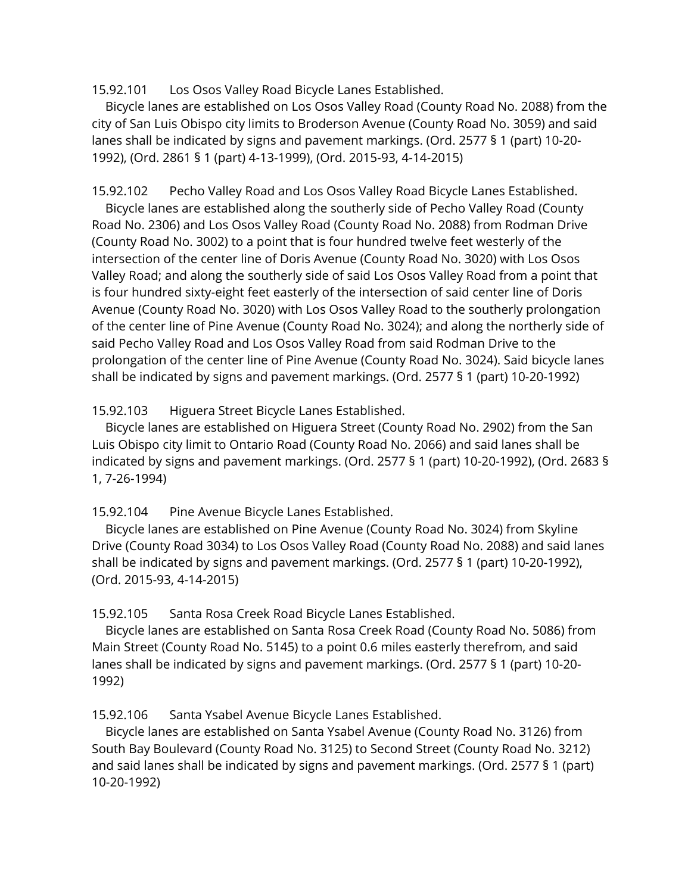15.92.101 Los Osos Valley Road Bicycle Lanes Established.

 Bicycle lanes are established on Los Osos Valley Road (County Road No. 2088) from the city of San Luis Obispo city limits to Broderson Avenue (County Road No. 3059) and said lanes shall be indicated by signs and pavement markings. (Ord. 2577 § 1 (part) 10-20- 1992), (Ord. 2861 § 1 (part) 4-13-1999), (Ord. 2015-93, 4-14-2015)

15.92.102 Pecho Valley Road and Los Osos Valley Road Bicycle Lanes Established. Bicycle lanes are established along the southerly side of Pecho Valley Road (County Road No. 2306) and Los Osos Valley Road (County Road No. 2088) from Rodman Drive (County Road No. 3002) to a point that is four hundred twelve feet westerly of the intersection of the center line of Doris Avenue (County Road No. 3020) with Los Osos Valley Road; and along the southerly side of said Los Osos Valley Road from a point that is four hundred sixty-eight feet easterly of the intersection of said center line of Doris Avenue (County Road No. 3020) with Los Osos Valley Road to the southerly prolongation of the center line of Pine Avenue (County Road No. 3024); and along the northerly side of said Pecho Valley Road and Los Osos Valley Road from said Rodman Drive to the prolongation of the center line of Pine Avenue (County Road No. 3024). Said bicycle lanes shall be indicated by signs and pavement markings. (Ord. 2577 § 1 (part) 10-20-1992)

15.92.103 Higuera Street Bicycle Lanes Established.

 Bicycle lanes are established on Higuera Street (County Road No. 2902) from the San Luis Obispo city limit to Ontario Road (County Road No. 2066) and said lanes shall be indicated by signs and pavement markings. (Ord. 2577 § 1 (part) 10-20-1992), (Ord. 2683 § 1, 7-26-1994)

15.92.104 Pine Avenue Bicycle Lanes Established.

 Bicycle lanes are established on Pine Avenue (County Road No. 3024) from Skyline Drive (County Road 3034) to Los Osos Valley Road (County Road No. 2088) and said lanes shall be indicated by signs and pavement markings. (Ord. 2577 § 1 (part) 10-20-1992), (Ord. 2015-93, 4-14-2015)

15.92.105 Santa Rosa Creek Road Bicycle Lanes Established.

 Bicycle lanes are established on Santa Rosa Creek Road (County Road No. 5086) from Main Street (County Road No. 5145) to a point 0.6 miles easterly therefrom, and said lanes shall be indicated by signs and pavement markings. (Ord. 2577 § 1 (part) 10-20- 1992)

15.92.106 Santa Ysabel Avenue Bicycle Lanes Established.

 Bicycle lanes are established on Santa Ysabel Avenue (County Road No. 3126) from South Bay Boulevard (County Road No. 3125) to Second Street (County Road No. 3212) and said lanes shall be indicated by signs and pavement markings. (Ord. 2577 § 1 (part) 10-20-1992)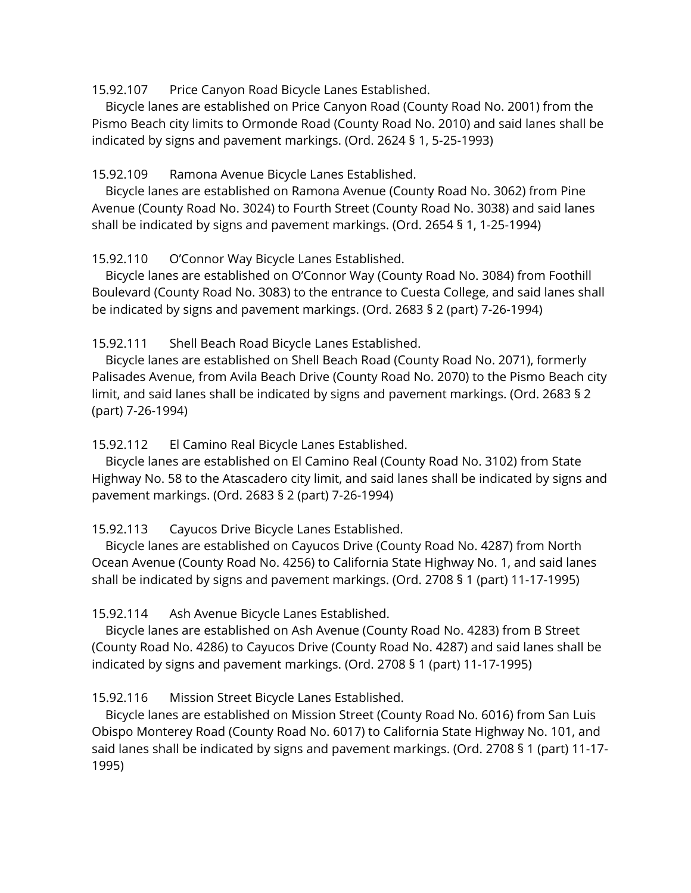15.92.107 Price Canyon Road Bicycle Lanes Established.

 Bicycle lanes are established on Price Canyon Road (County Road No. 2001) from the Pismo Beach city limits to Ormonde Road (County Road No. 2010) and said lanes shall be indicated by signs and pavement markings. (Ord. 2624 § 1, 5-25-1993)

15.92.109 Ramona Avenue Bicycle Lanes Established.

 Bicycle lanes are established on Ramona Avenue (County Road No. 3062) from Pine Avenue (County Road No. 3024) to Fourth Street (County Road No. 3038) and said lanes shall be indicated by signs and pavement markings. (Ord. 2654 § 1, 1-25-1994)

15.92.110 O'Connor Way Bicycle Lanes Established.

 Bicycle lanes are established on O'Connor Way (County Road No. 3084) from Foothill Boulevard (County Road No. 3083) to the entrance to Cuesta College, and said lanes shall be indicated by signs and pavement markings. (Ord. 2683 § 2 (part) 7-26-1994)

15.92.111 Shell Beach Road Bicycle Lanes Established.

 Bicycle lanes are established on Shell Beach Road (County Road No. 2071), formerly Palisades Avenue, from Avila Beach Drive (County Road No. 2070) to the Pismo Beach city limit, and said lanes shall be indicated by signs and pavement markings. (Ord. 2683 § 2 (part) 7-26-1994)

15.92.112 El Camino Real Bicycle Lanes Established.

 Bicycle lanes are established on El Camino Real (County Road No. 3102) from State Highway No. 58 to the Atascadero city limit, and said lanes shall be indicated by signs and pavement markings. (Ord. 2683 § 2 (part) 7-26-1994)

15.92.113 Cayucos Drive Bicycle Lanes Established.

 Bicycle lanes are established on Cayucos Drive (County Road No. 4287) from North Ocean Avenue (County Road No. 4256) to California State Highway No. 1, and said lanes shall be indicated by signs and pavement markings. (Ord. 2708 § 1 (part) 11-17-1995)

15.92.114 Ash Avenue Bicycle Lanes Established.

 Bicycle lanes are established on Ash Avenue (County Road No. 4283) from B Street (County Road No. 4286) to Cayucos Drive (County Road No. 4287) and said lanes shall be indicated by signs and pavement markings. (Ord. 2708 § 1 (part) 11-17-1995)

15.92.116 Mission Street Bicycle Lanes Established.

 Bicycle lanes are established on Mission Street (County Road No. 6016) from San Luis Obispo Monterey Road (County Road No. 6017) to California State Highway No. 101, and said lanes shall be indicated by signs and pavement markings. (Ord. 2708 § 1 (part) 11-17- 1995)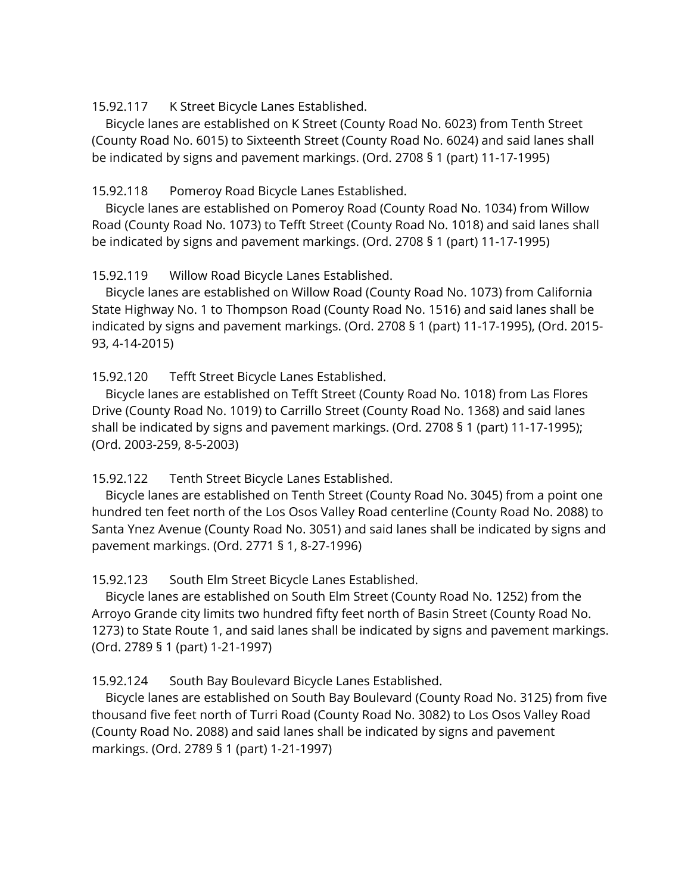15.92.117 K Street Bicycle Lanes Established.

 Bicycle lanes are established on K Street (County Road No. 6023) from Tenth Street (County Road No. 6015) to Sixteenth Street (County Road No. 6024) and said lanes shall be indicated by signs and pavement markings. (Ord. 2708 § 1 (part) 11-17-1995)

15.92.118 Pomeroy Road Bicycle Lanes Established.

 Bicycle lanes are established on Pomeroy Road (County Road No. 1034) from Willow Road (County Road No. 1073) to Tefft Street (County Road No. 1018) and said lanes shall be indicated by signs and pavement markings. (Ord. 2708 § 1 (part) 11-17-1995)

15.92.119 Willow Road Bicycle Lanes Established.

 Bicycle lanes are established on Willow Road (County Road No. 1073) from California State Highway No. 1 to Thompson Road (County Road No. 1516) and said lanes shall be indicated by signs and pavement markings. (Ord. 2708 § 1 (part) 11-17-1995), (Ord. 2015- 93, 4-14-2015)

15.92.120 Tefft Street Bicycle Lanes Established.

 Bicycle lanes are established on Tefft Street (County Road No. 1018) from Las Flores Drive (County Road No. 1019) to Carrillo Street (County Road No. 1368) and said lanes shall be indicated by signs and pavement markings. (Ord. 2708 § 1 (part) 11-17-1995); (Ord. 2003-259, 8-5-2003)

15.92.122 Tenth Street Bicycle Lanes Established.

 Bicycle lanes are established on Tenth Street (County Road No. 3045) from a point one hundred ten feet north of the Los Osos Valley Road centerline (County Road No. 2088) to Santa Ynez Avenue (County Road No. 3051) and said lanes shall be indicated by signs and pavement markings. (Ord. 2771 § 1, 8-27-1996)

15.92.123 South Elm Street Bicycle Lanes Established.

 Bicycle lanes are established on South Elm Street (County Road No. 1252) from the Arroyo Grande city limits two hundred fifty feet north of Basin Street (County Road No. 1273) to State Route 1, and said lanes shall be indicated by signs and pavement markings. (Ord. 2789 § 1 (part) 1-21-1997)

15.92.124 South Bay Boulevard Bicycle Lanes Established.

 Bicycle lanes are established on South Bay Boulevard (County Road No. 3125) from five thousand five feet north of Turri Road (County Road No. 3082) to Los Osos Valley Road (County Road No. 2088) and said lanes shall be indicated by signs and pavement markings. (Ord. 2789 § 1 (part) 1-21-1997)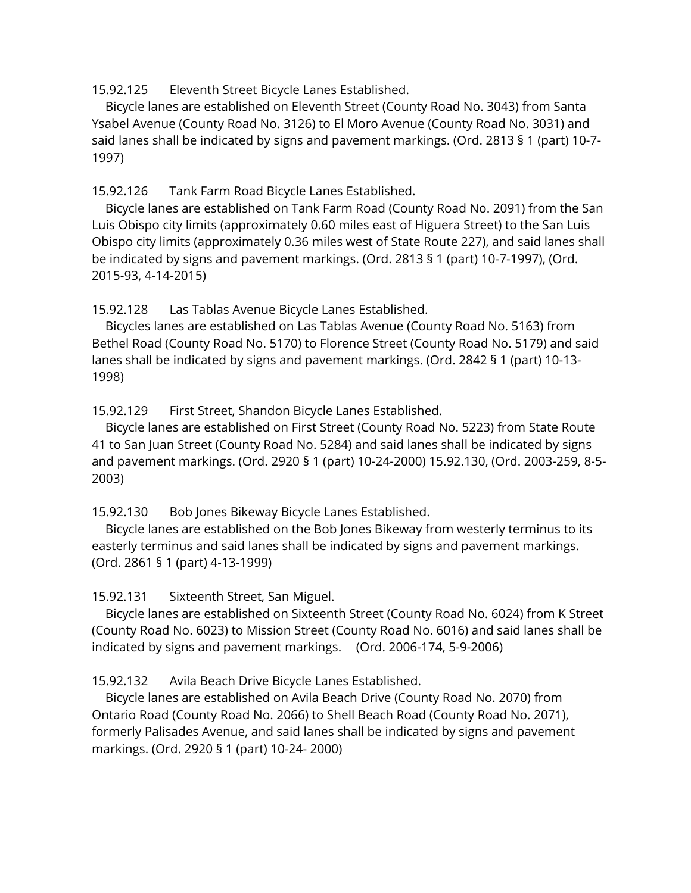15.92.125 Eleventh Street Bicycle Lanes Established.

 Bicycle lanes are established on Eleventh Street (County Road No. 3043) from Santa Ysabel Avenue (County Road No. 3126) to El Moro Avenue (County Road No. 3031) and said lanes shall be indicated by signs and pavement markings. (Ord. 2813 § 1 (part) 10-7- 1997)

15.92.126 Tank Farm Road Bicycle Lanes Established.

 Bicycle lanes are established on Tank Farm Road (County Road No. 2091) from the San Luis Obispo city limits (approximately 0.60 miles east of Higuera Street) to the San Luis Obispo city limits (approximately 0.36 miles west of State Route 227), and said lanes shall be indicated by signs and pavement markings. (Ord. 2813 § 1 (part) 10-7-1997), (Ord. 2015-93, 4-14-2015)

15.92.128 Las Tablas Avenue Bicycle Lanes Established.

 Bicycles lanes are established on Las Tablas Avenue (County Road No. 5163) from Bethel Road (County Road No. 5170) to Florence Street (County Road No. 5179) and said lanes shall be indicated by signs and pavement markings. (Ord. 2842 § 1 (part) 10-13- 1998)

15.92.129 First Street, Shandon Bicycle Lanes Established.

 Bicycle lanes are established on First Street (County Road No. 5223) from State Route 41 to San Juan Street (County Road No. 5284) and said lanes shall be indicated by signs and pavement markings. (Ord. 2920 § 1 (part) 10-24-2000) 15.92.130, (Ord. 2003-259, 8-5- 2003)

15.92.130 Bob Jones Bikeway Bicycle Lanes Established.

 Bicycle lanes are established on the Bob Jones Bikeway from westerly terminus to its easterly terminus and said lanes shall be indicated by signs and pavement markings. (Ord. 2861 § 1 (part) 4-13-1999)

15.92.131 Sixteenth Street, San Miguel.

 Bicycle lanes are established on Sixteenth Street (County Road No. 6024) from K Street (County Road No. 6023) to Mission Street (County Road No. 6016) and said lanes shall be indicated by signs and pavement markings. (Ord. 2006-174, 5-9-2006)

15.92.132 Avila Beach Drive Bicycle Lanes Established.

 Bicycle lanes are established on Avila Beach Drive (County Road No. 2070) from Ontario Road (County Road No. 2066) to Shell Beach Road (County Road No. 2071), formerly Palisades Avenue, and said lanes shall be indicated by signs and pavement markings. (Ord. 2920 § 1 (part) 10-24- 2000)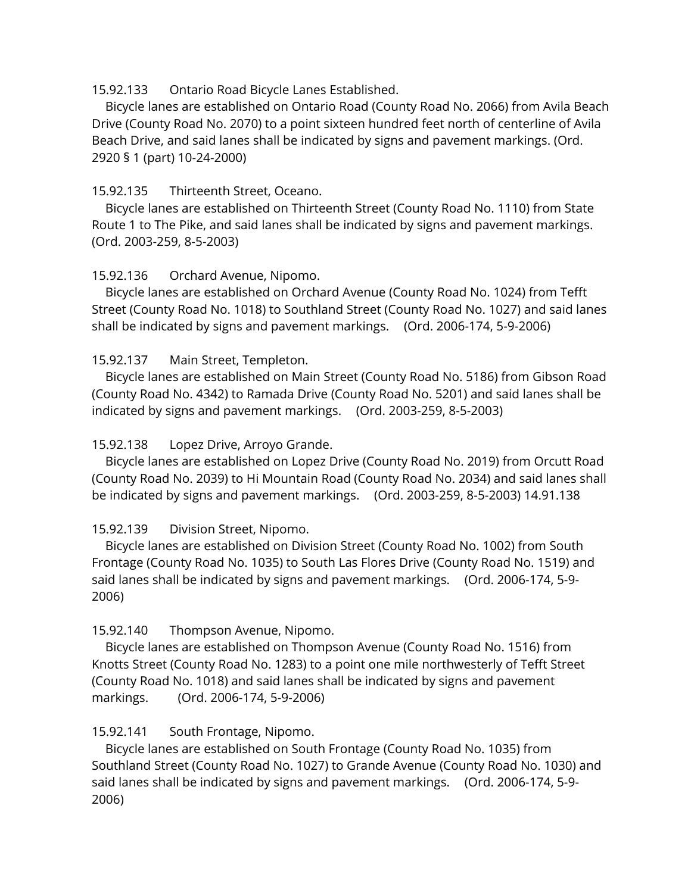### 15.92.133 Ontario Road Bicycle Lanes Established.

 Bicycle lanes are established on Ontario Road (County Road No. 2066) from Avila Beach Drive (County Road No. 2070) to a point sixteen hundred feet north of centerline of Avila Beach Drive, and said lanes shall be indicated by signs and pavement markings. (Ord. 2920 § 1 (part) 10-24-2000)

### 15.92.135 Thirteenth Street, Oceano.

 Bicycle lanes are established on Thirteenth Street (County Road No. 1110) from State Route 1 to The Pike, and said lanes shall be indicated by signs and pavement markings. (Ord. 2003-259, 8-5-2003)

## 15.92.136 Orchard Avenue, Nipomo.

 Bicycle lanes are established on Orchard Avenue (County Road No. 1024) from Tefft Street (County Road No. 1018) to Southland Street (County Road No. 1027) and said lanes shall be indicated by signs and pavement markings. (Ord. 2006-174, 5-9-2006)

## 15.92.137 Main Street, Templeton.

 Bicycle lanes are established on Main Street (County Road No. 5186) from Gibson Road (County Road No. 4342) to Ramada Drive (County Road No. 5201) and said lanes shall be indicated by signs and pavement markings. (Ord. 2003-259, 8-5-2003)

### 15.92.138 Lopez Drive, Arroyo Grande.

 Bicycle lanes are established on Lopez Drive (County Road No. 2019) from Orcutt Road (County Road No. 2039) to Hi Mountain Road (County Road No. 2034) and said lanes shall be indicated by signs and pavement markings. (Ord. 2003-259, 8-5-2003) 14.91.138

# 15.92.139 Division Street, Nipomo.

 Bicycle lanes are established on Division Street (County Road No. 1002) from South Frontage (County Road No. 1035) to South Las Flores Drive (County Road No. 1519) and said lanes shall be indicated by signs and pavement markings. (Ord. 2006-174, 5-9- 2006)

### 15.92.140 Thompson Avenue, Nipomo.

 Bicycle lanes are established on Thompson Avenue (County Road No. 1516) from Knotts Street (County Road No. 1283) to a point one mile northwesterly of Tefft Street (County Road No. 1018) and said lanes shall be indicated by signs and pavement markings. (Ord. 2006-174, 5-9-2006)

### 15.92.141 South Frontage, Nipomo.

 Bicycle lanes are established on South Frontage (County Road No. 1035) from Southland Street (County Road No. 1027) to Grande Avenue (County Road No. 1030) and said lanes shall be indicated by signs and pavement markings. (Ord. 2006-174, 5-9- 2006)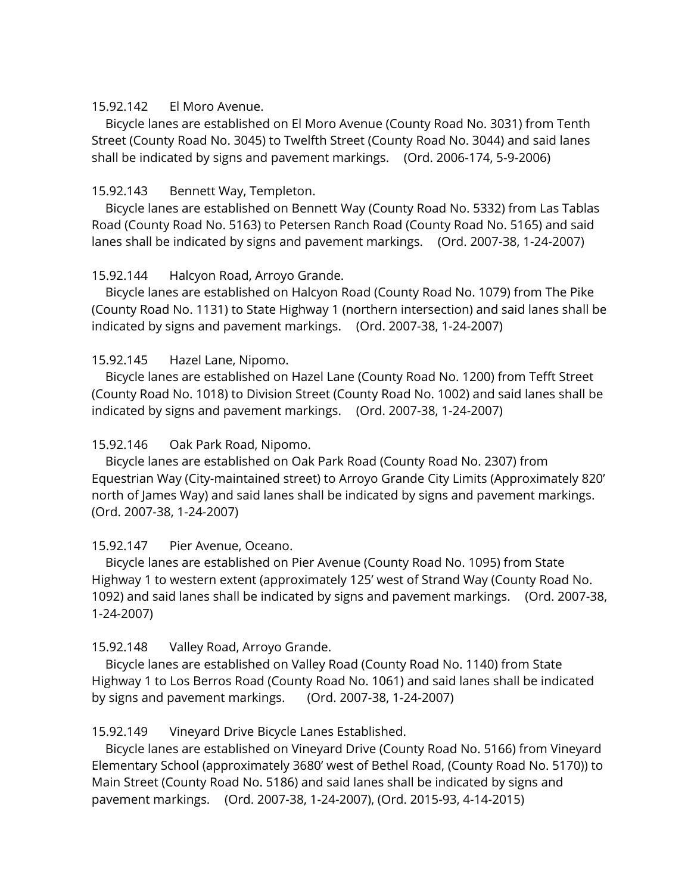#### 15.92.142 El Moro Avenue.

 Bicycle lanes are established on El Moro Avenue (County Road No. 3031) from Tenth Street (County Road No. 3045) to Twelfth Street (County Road No. 3044) and said lanes shall be indicated by signs and pavement markings. (Ord. 2006-174, 5-9-2006)

### 15.92.143 Bennett Way, Templeton.

 Bicycle lanes are established on Bennett Way (County Road No. 5332) from Las Tablas Road (County Road No. 5163) to Petersen Ranch Road (County Road No. 5165) and said lanes shall be indicated by signs and pavement markings. (Ord. 2007-38, 1-24-2007)

## 15.92.144 Halcyon Road, Arroyo Grande.

 Bicycle lanes are established on Halcyon Road (County Road No. 1079) from The Pike (County Road No. 1131) to State Highway 1 (northern intersection) and said lanes shall be indicated by signs and pavement markings. (Ord. 2007-38, 1-24-2007)

## 15.92.145 Hazel Lane, Nipomo.

 Bicycle lanes are established on Hazel Lane (County Road No. 1200) from Tefft Street (County Road No. 1018) to Division Street (County Road No. 1002) and said lanes shall be indicated by signs and pavement markings. (Ord. 2007-38, 1-24-2007)

### 15.92.146 Oak Park Road, Nipomo.

 Bicycle lanes are established on Oak Park Road (County Road No. 2307) from Equestrian Way (City-maintained street) to Arroyo Grande City Limits (Approximately 820' north of James Way) and said lanes shall be indicated by signs and pavement markings. (Ord. 2007-38, 1-24-2007)

### 15.92.147 Pier Avenue, Oceano.

 Bicycle lanes are established on Pier Avenue (County Road No. 1095) from State Highway 1 to western extent (approximately 125' west of Strand Way (County Road No. 1092) and said lanes shall be indicated by signs and pavement markings. (Ord. 2007-38, 1-24-2007)

### 15.92.148 Valley Road, Arroyo Grande.

 Bicycle lanes are established on Valley Road (County Road No. 1140) from State Highway 1 to Los Berros Road (County Road No. 1061) and said lanes shall be indicated by signs and pavement markings. (Ord. 2007-38, 1-24-2007)

# 15.92.149 Vineyard Drive Bicycle Lanes Established.

 Bicycle lanes are established on Vineyard Drive (County Road No. 5166) from Vineyard Elementary School (approximately 3680' west of Bethel Road, (County Road No. 5170)) to Main Street (County Road No. 5186) and said lanes shall be indicated by signs and pavement markings. (Ord. 2007-38, 1-24-2007), (Ord. 2015-93, 4-14-2015)